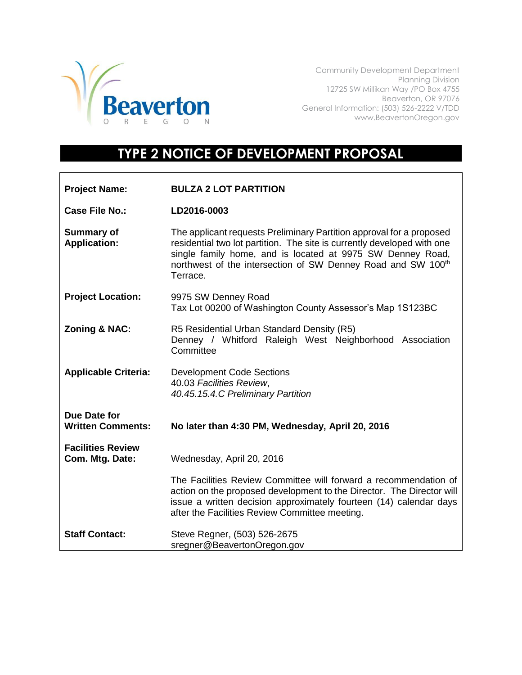

Г

Community Development Department Planning Division 12725 SW Millikan Way /PO Box 4755 Beaverton, OR 97076 General Information: (503) 526-2222 V/TDD www.BeavertonOregon.gov

## **TYPE 2 NOTICE OF DEVELOPMENT PROPOSAL**

| <b>Project Name:</b>                        | <b>BULZA 2 LOT PARTITION</b>                                                                                                                                                                                                                                                              |
|---------------------------------------------|-------------------------------------------------------------------------------------------------------------------------------------------------------------------------------------------------------------------------------------------------------------------------------------------|
| Case File No.:                              | LD2016-0003                                                                                                                                                                                                                                                                               |
| <b>Summary of</b><br><b>Application:</b>    | The applicant requests Preliminary Partition approval for a proposed<br>residential two lot partition. The site is currently developed with one<br>single family home, and is located at 9975 SW Denney Road,<br>northwest of the intersection of SW Denney Road and SW 100th<br>Terrace. |
| <b>Project Location:</b>                    | 9975 SW Denney Road<br>Tax Lot 00200 of Washington County Assessor's Map 1S123BC                                                                                                                                                                                                          |
| <b>Zoning &amp; NAC:</b>                    | R5 Residential Urban Standard Density (R5)<br>Denney / Whitford Raleigh West Neighborhood Association<br>Committee                                                                                                                                                                        |
| <b>Applicable Criteria:</b>                 | <b>Development Code Sections</b><br>40.03 Facilities Review,<br>40.45.15.4.C Preliminary Partition                                                                                                                                                                                        |
| Due Date for<br><b>Written Comments:</b>    | No later than 4:30 PM, Wednesday, April 20, 2016                                                                                                                                                                                                                                          |
| <b>Facilities Review</b><br>Com. Mtg. Date: | Wednesday, April 20, 2016                                                                                                                                                                                                                                                                 |
|                                             | The Facilities Review Committee will forward a recommendation of<br>action on the proposed development to the Director. The Director will<br>issue a written decision approximately fourteen (14) calendar days<br>after the Facilities Review Committee meeting.                         |
| <b>Staff Contact:</b>                       | Steve Regner, (503) 526-2675<br>sregner@BeavertonOregon.gov                                                                                                                                                                                                                               |